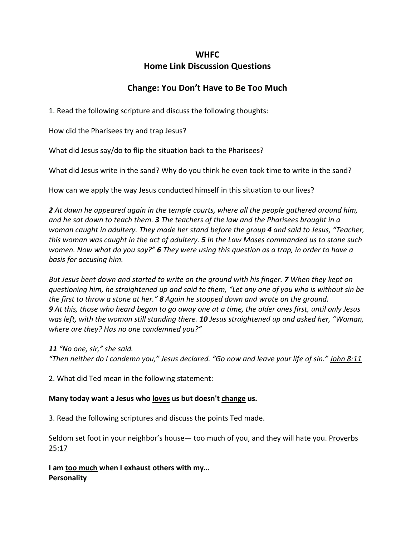### **WHFC**

## **Home Link Discussion Questions**

# **Change: You Don't Have to Be Too Much**

1. Read the following scripture and discuss the following thoughts:

How did the Pharisees try and trap Jesus?

What did Jesus say/do to flip the situation back to the Pharisees?

What did Jesus write in the sand? Why do you think he even took time to write in the sand?

How can we apply the way Jesus conducted himself in this situation to our lives?

*2 At dawn he appeared again in the temple courts, where all the people gathered around him, and he sat down to teach them. 3 The teachers of the law and the Pharisees brought in a woman caught in adultery. They made her stand before the group 4 and said to Jesus, "Teacher, this woman was caught in the act of adultery. 5 In the Law Moses commanded us to stone such women. Now what do you say?" 6 They were using this question as a trap, in order to have a basis for accusing him.*

*But Jesus bent down and started to write on the ground with his finger. 7 When they kept on questioning him, he straightened up and said to them, "Let any one of you who is without sin be the first to throw a stone at her." 8 Again he stooped down and wrote on the ground. 9 At this, those who heard began to go away one at a time, the older ones first, until only Jesus was left, with the woman still standing there. 10 Jesus straightened up and asked her, "Woman, where are they? Has no one condemned you?"*

*11 "No one, sir," she said.*

*"Then neither do I condemn you," Jesus declared. "Go now and leave your life of sin." John 8:11*

2. What did Ted mean in the following statement:

#### **Many today want a Jesus who loves us but doesn't change us.**

3. Read the following scriptures and discuss the points Ted made.

Seldom set foot in your neighbor's house— too much of you, and they will hate you. Proverbs 25:17

**I am too much when I exhaust others with my… Personality**